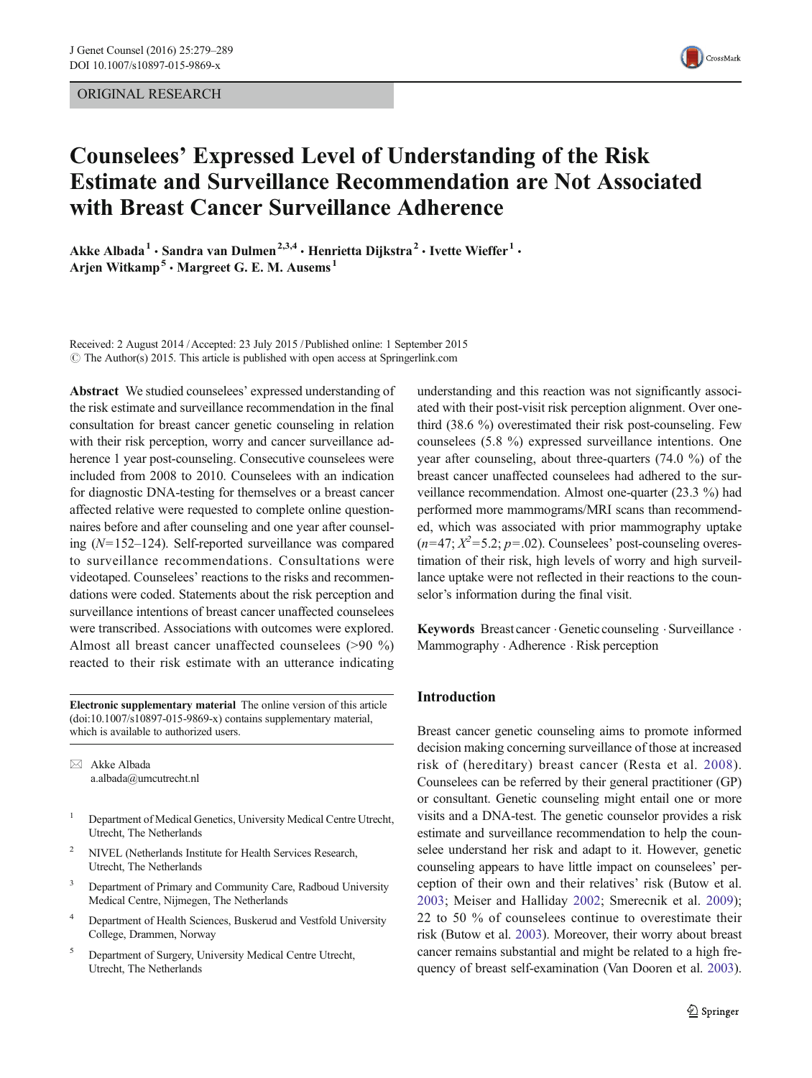ORIGINAL RESEARCH



# Counselees' Expressed Level of Understanding of the Risk Estimate and Surveillance Recommendation are Not Associated with Breast Cancer Surveillance Adherence

Akke Albada<sup>1</sup> · Sandra van Dulmen<sup>2,3,4</sup> · Henrietta Dijkstra<sup>2</sup> · Ivette Wieffer<sup>1</sup> · Arjen Witkamp<sup>5</sup>  $\cdot$  Margreet G. E. M. Ausems<sup>1</sup>

Received: 2 August 2014 /Accepted: 23 July 2015 / Published online: 1 September 2015  $\odot$  The Author(s) 2015. This article is published with open access at Springerlink.com

Abstract We studied counselees' expressed understanding of the risk estimate and surveillance recommendation in the final consultation for breast cancer genetic counseling in relation with their risk perception, worry and cancer surveillance adherence 1 year post-counseling. Consecutive counselees were included from 2008 to 2010. Counselees with an indication for diagnostic DNA-testing for themselves or a breast cancer affected relative were requested to complete online questionnaires before and after counseling and one year after counseling (N=152–124). Self-reported surveillance was compared to surveillance recommendations. Consultations were videotaped. Counselees' reactions to the risks and recommendations were coded. Statements about the risk perception and surveillance intentions of breast cancer unaffected counselees were transcribed. Associations with outcomes were explored. Almost all breast cancer unaffected counselees (>90 %) reacted to their risk estimate with an utterance indicating

Electronic supplementary material The online version of this article (doi[:10.1007/s10897-015-9869-x](http://dx.doi.org/10.1007/s10897-015-9869-x)) contains supplementary material, which is available to authorized users.

 $\boxtimes$  Akke Albada a.albada@umcutrecht.nl

- <sup>1</sup> Department of Medical Genetics, University Medical Centre Utrecht, Utrecht, The Netherlands
- <sup>2</sup> NIVEL (Netherlands Institute for Health Services Research, Utrecht, The Netherlands
- <sup>3</sup> Department of Primary and Community Care, Radboud University Medical Centre, Nijmegen, The Netherlands
- <sup>4</sup> Department of Health Sciences, Buskerud and Vestfold University College, Drammen, Norway
- <sup>5</sup> Department of Surgery, University Medical Centre Utrecht, Utrecht, The Netherlands

understanding and this reaction was not significantly associated with their post-visit risk perception alignment. Over onethird (38.6 %) overestimated their risk post-counseling. Few counselees (5.8 %) expressed surveillance intentions. One year after counseling, about three-quarters (74.0 %) of the breast cancer unaffected counselees had adhered to the surveillance recommendation. Almost one-quarter (23.3 %) had performed more mammograms/MRI scans than recommended, which was associated with prior mammography uptake  $(n=47; X^2=5.2; p=.02)$ . Counselees' post-counseling overestimation of their risk, high levels of worry and high surveillance uptake were not reflected in their reactions to the counselor's information during the final visit.

Keywords Breast cancer . Genetic counseling . Surveillance . Mammography . Adherence . Risk perception

# Introduction

Breast cancer genetic counseling aims to promote informed decision making concerning surveillance of those at increased risk of (hereditary) breast cancer (Resta et al. [2008](#page-10-0)). Counselees can be referred by their general practitioner (GP) or consultant. Genetic counseling might entail one or more visits and a DNA-test. The genetic counselor provides a risk estimate and surveillance recommendation to help the counselee understand her risk and adapt to it. However, genetic counseling appears to have little impact on counselees' perception of their own and their relatives' risk (Butow et al. [2003](#page-9-0); Meiser and Halliday [2002;](#page-10-0) Smerecnik et al. [2009](#page-10-0)); 22 to 50 % of counselees continue to overestimate their risk (Butow et al. [2003\)](#page-9-0). Moreover, their worry about breast cancer remains substantial and might be related to a high frequency of breast self-examination (Van Dooren et al. [2003\)](#page-10-0).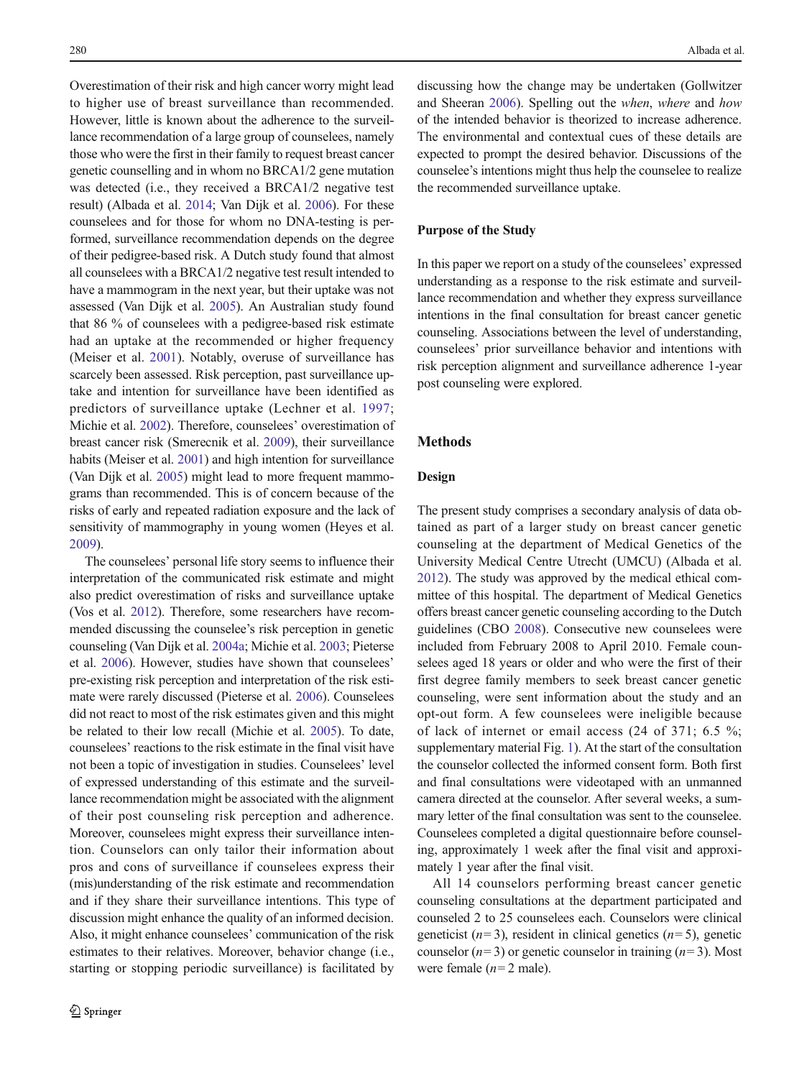Overestimation of their risk and high cancer worry might lead to higher use of breast surveillance than recommended. However, little is known about the adherence to the surveillance recommendation of a large group of counselees, namely those who were the first in their family to request breast cancer genetic counselling and in whom no BRCA1/2 gene mutation was detected (i.e., they received a BRCA1/2 negative test result) (Albada et al. [2014;](#page-9-0) Van Dijk et al. [2006](#page-10-0)). For these counselees and for those for whom no DNA-testing is performed, surveillance recommendation depends on the degree of their pedigree-based risk. A Dutch study found that almost all counselees with a BRCA1/2 negative test result intended to have a mammogram in the next year, but their uptake was not assessed (Van Dijk et al. [2005](#page-10-0)). An Australian study found that 86 % of counselees with a pedigree-based risk estimate had an uptake at the recommended or higher frequency (Meiser et al. [2001\)](#page-10-0). Notably, overuse of surveillance has scarcely been assessed. Risk perception, past surveillance uptake and intention for surveillance have been identified as predictors of surveillance uptake (Lechner et al. [1997](#page-10-0); Michie et al. [2002](#page-10-0)). Therefore, counselees' overestimation of breast cancer risk (Smerecnik et al. [2009](#page-10-0)), their surveillance habits (Meiser et al. [2001\)](#page-10-0) and high intention for surveillance (Van Dijk et al. [2005](#page-10-0)) might lead to more frequent mammograms than recommended. This is of concern because of the risks of early and repeated radiation exposure and the lack of sensitivity of mammography in young women (Heyes et al. [2009\)](#page-10-0).

The counselees' personal life story seems to influence their interpretation of the communicated risk estimate and might also predict overestimation of risks and surveillance uptake (Vos et al. [2012](#page-10-0)). Therefore, some researchers have recommended discussing the counselee's risk perception in genetic counseling (Van Dijk et al. [2004a](#page-10-0); Michie et al. [2003;](#page-10-0) Pieterse et al. [2006](#page-10-0)). However, studies have shown that counselees' pre-existing risk perception and interpretation of the risk estimate were rarely discussed (Pieterse et al. [2006\)](#page-10-0). Counselees did not react to most of the risk estimates given and this might be related to their low recall (Michie et al. [2005](#page-10-0)). To date, counselees' reactions to the risk estimate in the final visit have not been a topic of investigation in studies. Counselees' level of expressed understanding of this estimate and the surveillance recommendation might be associated with the alignment of their post counseling risk perception and adherence. Moreover, counselees might express their surveillance intention. Counselors can only tailor their information about pros and cons of surveillance if counselees express their (mis)understanding of the risk estimate and recommendation and if they share their surveillance intentions. This type of discussion might enhance the quality of an informed decision. Also, it might enhance counselees' communication of the risk estimates to their relatives. Moreover, behavior change (i.e., starting or stopping periodic surveillance) is facilitated by

discussing how the change may be undertaken (Gollwitzer and Sheeran [2006\)](#page-10-0). Spelling out the when, where and how of the intended behavior is theorized to increase adherence. The environmental and contextual cues of these details are expected to prompt the desired behavior. Discussions of the counselee's intentions might thus help the counselee to realize the recommended surveillance uptake.

# Purpose of the Study

In this paper we report on a study of the counselees' expressed understanding as a response to the risk estimate and surveillance recommendation and whether they express surveillance intentions in the final consultation for breast cancer genetic counseling. Associations between the level of understanding, counselees' prior surveillance behavior and intentions with risk perception alignment and surveillance adherence 1-year post counseling were explored.

# Methods

# Design

The present study comprises a secondary analysis of data obtained as part of a larger study on breast cancer genetic counseling at the department of Medical Genetics of the University Medical Centre Utrecht (UMCU) (Albada et al. [2012\)](#page-9-0). The study was approved by the medical ethical committee of this hospital. The department of Medical Genetics offers breast cancer genetic counseling according to the Dutch guidelines (CBO [2008](#page-9-0)). Consecutive new counselees were included from February 2008 to April 2010. Female counselees aged 18 years or older and who were the first of their first degree family members to seek breast cancer genetic counseling, were sent information about the study and an opt-out form. A few counselees were ineligible because of lack of internet or email access (24 of 371; 6.5 %; supplementary material Fig. 1). At the start of the consultation the counselor collected the informed consent form. Both first and final consultations were videotaped with an unmanned camera directed at the counselor. After several weeks, a summary letter of the final consultation was sent to the counselee. Counselees completed a digital questionnaire before counseling, approximately 1 week after the final visit and approximately 1 year after the final visit.

All 14 counselors performing breast cancer genetic counseling consultations at the department participated and counseled 2 to 25 counselees each. Counselors were clinical geneticist ( $n=3$ ), resident in clinical genetics ( $n=5$ ), genetic counselor ( $n=3$ ) or genetic counselor in training ( $n=3$ ). Most were female  $(n=2$  male).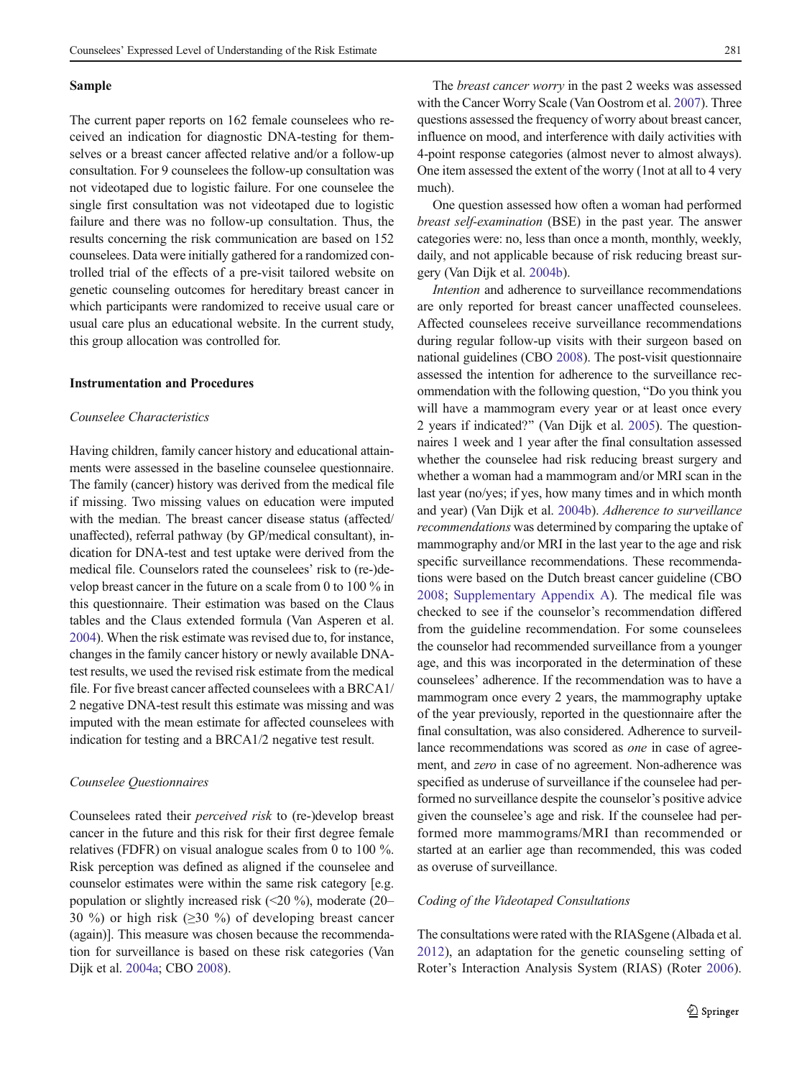### Sample

The current paper reports on 162 female counselees who received an indication for diagnostic DNA-testing for themselves or a breast cancer affected relative and/or a follow-up consultation. For 9 counselees the follow-up consultation was not videotaped due to logistic failure. For one counselee the single first consultation was not videotaped due to logistic failure and there was no follow-up consultation. Thus, the results concerning the risk communication are based on 152 counselees. Data were initially gathered for a randomized controlled trial of the effects of a pre-visit tailored website on genetic counseling outcomes for hereditary breast cancer in which participants were randomized to receive usual care or usual care plus an educational website. In the current study, this group allocation was controlled for.

## Instrumentation and Procedures

## Counselee Characteristics

Having children, family cancer history and educational attainments were assessed in the baseline counselee questionnaire. The family (cancer) history was derived from the medical file if missing. Two missing values on education were imputed with the median. The breast cancer disease status (affected/ unaffected), referral pathway (by GP/medical consultant), indication for DNA-test and test uptake were derived from the medical file. Counselors rated the counselees' risk to (re-)develop breast cancer in the future on a scale from 0 to 100 % in this questionnaire. Their estimation was based on the Claus tables and the Claus extended formula (Van Asperen et al. [2004\)](#page-10-0). When the risk estimate was revised due to, for instance, changes in the family cancer history or newly available DNAtest results, we used the revised risk estimate from the medical file. For five breast cancer affected counselees with a BRCA1/ 2 negative DNA-test result this estimate was missing and was imputed with the mean estimate for affected counselees with indication for testing and a BRCA1/2 negative test result.

### Counselee Questionnaires

Counselees rated their perceived risk to (re-)develop breast cancer in the future and this risk for their first degree female relatives (FDFR) on visual analogue scales from 0 to 100 %. Risk perception was defined as aligned if the counselee and counselor estimates were within the same risk category [e.g. population or slightly increased risk (<20 %), moderate (20– 30 %) or high risk ( $\geq$ 30 %) of developing breast cancer (again)]. This measure was chosen because the recommendation for surveillance is based on these risk categories (Van Dijk et al. [2004a](#page-10-0); CBO [2008\)](#page-9-0).

The breast cancer worry in the past 2 weeks was assessed with the Cancer Worry Scale (Van Oostrom et al. [2007](#page-10-0)). Three questions assessed the frequency of worry about breast cancer, influence on mood, and interference with daily activities with 4-point response categories (almost never to almost always). One item assessed the extent of the worry (1not at all to 4 very much).

One question assessed how often a woman had performed breast self-examination (BSE) in the past year. The answer categories were: no, less than once a month, monthly, weekly, daily, and not applicable because of risk reducing breast surgery (Van Dijk et al. [2004b\)](#page-10-0).

Intention and adherence to surveillance recommendations are only reported for breast cancer unaffected counselees. Affected counselees receive surveillance recommendations during regular follow-up visits with their surgeon based on national guidelines (CBO [2008\)](#page-9-0). The post-visit questionnaire assessed the intention for adherence to the surveillance recommendation with the following question, "Do you think you will have a mammogram every year or at least once every 2 years if indicated?^ (Van Dijk et al. [2005\)](#page-10-0). The questionnaires 1 week and 1 year after the final consultation assessed whether the counselee had risk reducing breast surgery and whether a woman had a mammogram and/or MRI scan in the last year (no/yes; if yes, how many times and in which month and year) (Van Dijk et al. [2004b\)](#page-10-0). Adherence to surveillance recommendations was determined by comparing the uptake of mammography and/or MRI in the last year to the age and risk specific surveillance recommendations. These recommendations were based on the Dutch breast cancer guideline (CBO [2008](#page-9-0); Supplementary Appendix A). The medical file was checked to see if the counselor's recommendation differed from the guideline recommendation. For some counselees the counselor had recommended surveillance from a younger age, and this was incorporated in the determination of these counselees' adherence. If the recommendation was to have a mammogram once every 2 years, the mammography uptake of the year previously, reported in the questionnaire after the final consultation, was also considered. Adherence to surveillance recommendations was scored as one in case of agreement, and zero in case of no agreement. Non-adherence was specified as underuse of surveillance if the counselee had performed no surveillance despite the counselor's positive advice given the counselee's age and risk. If the counselee had performed more mammograms/MRI than recommended or started at an earlier age than recommended, this was coded as overuse of surveillance.

### Coding of the Videotaped Consultations

The consultations were rated with the RIASgene (Albada et al. [2012](#page-9-0)), an adaptation for the genetic counseling setting of Roter's Interaction Analysis System (RIAS) (Roter [2006\)](#page-10-0).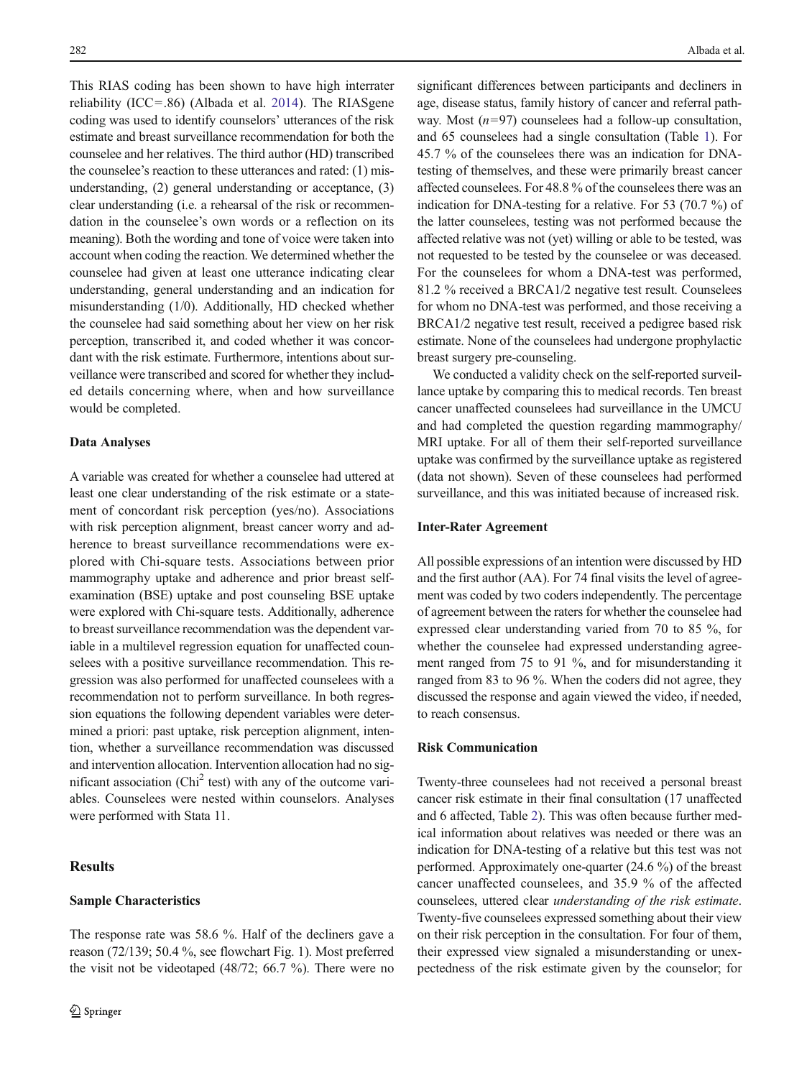This RIAS coding has been shown to have high interrater reliability (ICC=.86) (Albada et al. [2014](#page-9-0)). The RIASgene coding was used to identify counselors' utterances of the risk estimate and breast surveillance recommendation for both the counselee and her relatives. The third author (HD) transcribed the counselee's reaction to these utterances and rated: (1) misunderstanding, (2) general understanding or acceptance, (3) clear understanding (i.e. a rehearsal of the risk or recommendation in the counselee's own words or a reflection on its meaning). Both the wording and tone of voice were taken into account when coding the reaction. We determined whether the counselee had given at least one utterance indicating clear understanding, general understanding and an indication for misunderstanding (1/0). Additionally, HD checked whether the counselee had said something about her view on her risk perception, transcribed it, and coded whether it was concordant with the risk estimate. Furthermore, intentions about surveillance were transcribed and scored for whether they included details concerning where, when and how surveillance would be completed.

### Data Analyses

A variable was created for whether a counselee had uttered at least one clear understanding of the risk estimate or a statement of concordant risk perception (yes/no). Associations with risk perception alignment, breast cancer worry and adherence to breast surveillance recommendations were explored with Chi-square tests. Associations between prior mammography uptake and adherence and prior breast selfexamination (BSE) uptake and post counseling BSE uptake were explored with Chi-square tests. Additionally, adherence to breast surveillance recommendation was the dependent variable in a multilevel regression equation for unaffected counselees with a positive surveillance recommendation. This regression was also performed for unaffected counselees with a recommendation not to perform surveillance. In both regression equations the following dependent variables were determined a priori: past uptake, risk perception alignment, intention, whether a surveillance recommendation was discussed and intervention allocation. Intervention allocation had no significant association ( $Chi<sup>2</sup>$  test) with any of the outcome variables. Counselees were nested within counselors. Analyses were performed with Stata 11.

# **Results**

### Sample Characteristics

The response rate was 58.6 %. Half of the decliners gave a reason (72/139; 50.4 %, see flowchart Fig. 1). Most preferred the visit not be videotaped (48/72; 66.7 %). There were no significant differences between participants and decliners in age, disease status, family history of cancer and referral pathway. Most  $(n=97)$  counselees had a follow-up consultation, and 65 counselees had a single consultation (Table [1](#page-4-0)). For 45.7 % of the counselees there was an indication for DNAtesting of themselves, and these were primarily breast cancer affected counselees. For 48.8 % of the counselees there was an indication for DNA-testing for a relative. For 53 (70.7 %) of the latter counselees, testing was not performed because the affected relative was not (yet) willing or able to be tested, was not requested to be tested by the counselee or was deceased. For the counselees for whom a DNA-test was performed, 81.2 % received a BRCA1/2 negative test result. Counselees for whom no DNA-test was performed, and those receiving a BRCA1/2 negative test result, received a pedigree based risk estimate. None of the counselees had undergone prophylactic breast surgery pre-counseling.

We conducted a validity check on the self-reported surveillance uptake by comparing this to medical records. Ten breast cancer unaffected counselees had surveillance in the UMCU and had completed the question regarding mammography/ MRI uptake. For all of them their self-reported surveillance uptake was confirmed by the surveillance uptake as registered (data not shown). Seven of these counselees had performed surveillance, and this was initiated because of increased risk.

### Inter-Rater Agreement

All possible expressions of an intention were discussed by HD and the first author (AA). For 74 final visits the level of agreement was coded by two coders independently. The percentage of agreement between the raters for whether the counselee had expressed clear understanding varied from 70 to 85 %, for whether the counselee had expressed understanding agreement ranged from 75 to 91 %, and for misunderstanding it ranged from 83 to 96 %. When the coders did not agree, they discussed the response and again viewed the video, if needed, to reach consensus.

# Risk Communication

Twenty-three counselees had not received a personal breast cancer risk estimate in their final consultation (17 unaffected and 6 affected, Table [2\)](#page-5-0). This was often because further medical information about relatives was needed or there was an indication for DNA-testing of a relative but this test was not performed. Approximately one-quarter (24.6 %) of the breast cancer unaffected counselees, and 35.9 % of the affected counselees, uttered clear understanding of the risk estimate. Twenty-five counselees expressed something about their view on their risk perception in the consultation. For four of them, their expressed view signaled a misunderstanding or unexpectedness of the risk estimate given by the counselor; for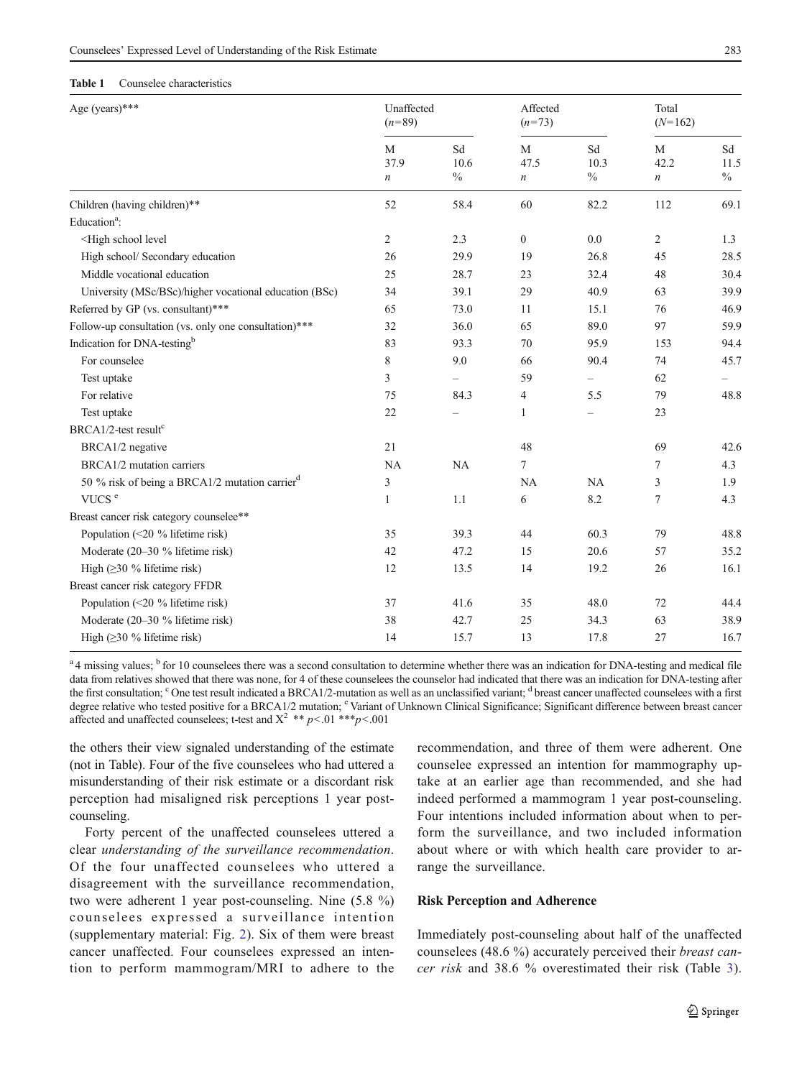#### <span id="page-4-0"></span>Table 1 Counselee characteristics

| Age (years)***                                                                                                                    | Unaffected<br>$(n=89)$        |                          | Affected<br>$(n=73)$          |                    | Total<br>$(N=162)$            |                             |
|-----------------------------------------------------------------------------------------------------------------------------------|-------------------------------|--------------------------|-------------------------------|--------------------|-------------------------------|-----------------------------|
|                                                                                                                                   | M<br>37.9<br>$\boldsymbol{n}$ | Sd<br>10.6<br>$\%$       | M<br>47.5<br>$\boldsymbol{n}$ | Sd<br>10.3<br>$\%$ | M<br>42.2<br>$\boldsymbol{n}$ | Sd<br>11.5<br>$\frac{0}{0}$ |
| Children (having children)**                                                                                                      | 52                            | 58.4                     | 60                            | 82.2               | 112                           | 69.1                        |
| Education <sup>a</sup> :                                                                                                          |                               |                          |                               |                    |                               |                             |
| <high level<="" school="" td=""><td>2</td><td>2.3</td><td><math>\overline{0}</math></td><td>0.0</td><td>2</td><td>1.3</td></high> | 2                             | 2.3                      | $\overline{0}$                | 0.0                | 2                             | 1.3                         |
| High school/ Secondary education                                                                                                  | 26                            | 29.9                     | 19                            | 26.8               | 45                            | 28.5                        |
| Middle vocational education                                                                                                       | 25                            | 28.7                     | 23                            | 32.4               | 48                            | 30.4                        |
| University (MSc/BSc)/higher vocational education (BSc)                                                                            | 34                            | 39.1                     | 29                            | 40.9               | 63                            | 39.9                        |
| Referred by GP (vs. consultant)***                                                                                                | 65                            | 73.0                     | 11                            | 15.1               | 76                            | 46.9                        |
| Follow-up consultation (vs. only one consultation)***                                                                             | 32                            | 36.0                     | 65                            | 89.0               | 97                            | 59.9                        |
| Indication for DNA-testing <sup>b</sup>                                                                                           | 83                            | 93.3                     | 70                            | 95.9               | 153                           | 94.4                        |
| For counselee                                                                                                                     | 8                             | 9.0                      | 66                            | 90.4               | 74                            | 45.7                        |
| Test uptake                                                                                                                       | 3                             | $\overline{\phantom{0}}$ | 59                            |                    | 62                            | $\overline{\phantom{0}}$    |
| For relative                                                                                                                      | 75                            | 84.3                     | 4                             | 5.5                | 79                            | 48.8                        |
| Test uptake                                                                                                                       | 22                            | $\overline{\phantom{0}}$ | $\mathbf{1}$                  | -                  | 23                            |                             |
| $BRCA1/2$ -test result <sup>c</sup>                                                                                               |                               |                          |                               |                    |                               |                             |
| BRCA1/2 negative                                                                                                                  | 21                            |                          | 48                            |                    | 69                            | 42.6                        |
| BRCA1/2 mutation carriers                                                                                                         | <b>NA</b>                     | <b>NA</b>                | 7                             |                    | $\tau$                        | 4.3                         |
| 50 % risk of being a BRCA1/2 mutation carrier <sup>d</sup>                                                                        | 3                             |                          | <b>NA</b>                     | NA                 | 3                             | 1.9                         |
| VUCS <sup>e</sup>                                                                                                                 | $\mathbf{1}$                  | 1.1                      | 6                             | 8.2                | $\tau$                        | 4.3                         |
| Breast cancer risk category counselee**                                                                                           |                               |                          |                               |                    |                               |                             |
| Population (<20 % lifetime risk)                                                                                                  | 35                            | 39.3                     | 44                            | 60.3               | 79                            | 48.8                        |
| Moderate (20-30 % lifetime risk)                                                                                                  | 42                            | 47.2                     | 15                            | 20.6               | 57                            | 35.2                        |
| High $(\geq 30\%$ lifetime risk)                                                                                                  | 12                            | 13.5                     | 14                            | 19.2               | 26                            | 16.1                        |
| Breast cancer risk category FFDR                                                                                                  |                               |                          |                               |                    |                               |                             |
| Population (<20 % lifetime risk)                                                                                                  | 37                            | 41.6                     | 35                            | 48.0               | 72                            | 44.4                        |
| Moderate (20-30 % lifetime risk)                                                                                                  | 38                            | 42.7                     | 25                            | 34.3               | 63                            | 38.9                        |
| High $(\geq 30\%$ lifetime risk)                                                                                                  | 14                            | 15.7                     | 13                            | 17.8               | 27                            | 16.7                        |

<sup>a</sup> 4 missing values; <sup>b</sup> for 10 counselees there was a second consultation to determine whether there was an indication for DNA-testing and medical file data from relatives showed that there was none, for 4 of these counselees the counselor had indicated that there was an indication for DNA-testing after the first consultation; <sup>c</sup> One test result indicated a BRCA1/2-mutation as well as an unclassified variant; <sup>d</sup> breast cancer unaffected counselees with a first degree relative who tested positive for a BRCA1/2 mutation; "Variant of Unknown Clinical Significance; Significant difference between breast cancer affected and unaffected counselees; t-test and  $X^2$  \*\*  $p<.01$  \*\*\* $p<.001$ 

the others their view signaled understanding of the estimate (not in Table). Four of the five counselees who had uttered a misunderstanding of their risk estimate or a discordant risk perception had misaligned risk perceptions 1 year postcounseling.

Forty percent of the unaffected counselees uttered a clear understanding of the surveillance recommendation. Of the four unaffected counselees who uttered a disagreement with the surveillance recommendation, two were adherent 1 year post-counseling. Nine (5.8 %) counselees expressed a surveillance intention (supplementary material: Fig. 2). Six of them were breast cancer unaffected. Four counselees expressed an intention to perform mammogram/MRI to adhere to the recommendation, and three of them were adherent. One counselee expressed an intention for mammography uptake at an earlier age than recommended, and she had indeed performed a mammogram 1 year post-counseling. Four intentions included information about when to perform the surveillance, and two included information about where or with which health care provider to arrange the surveillance.

### Risk Perception and Adherence

Immediately post-counseling about half of the unaffected counselees (48.6 %) accurately perceived their breast cancer risk and 38.6 % overestimated their risk (Table [3](#page-6-0)).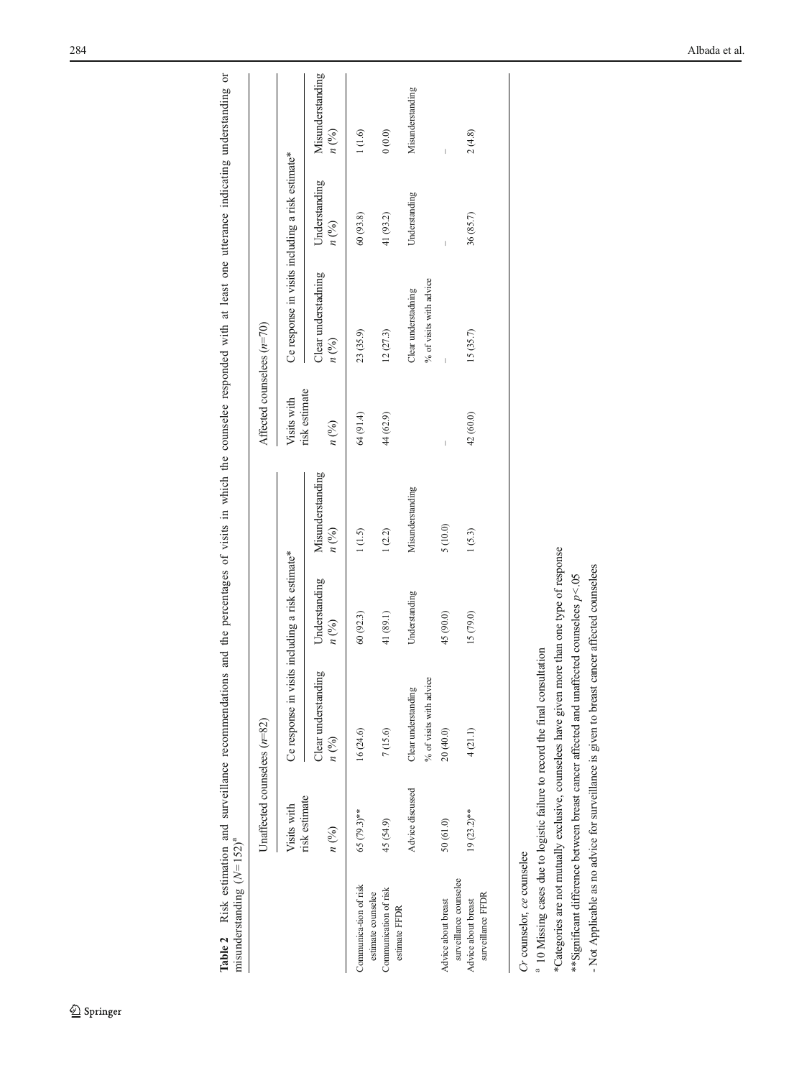|                                                                    | Unaffected counselees $(n=82)$   |                                                  |                       |                                     | Affected counselees $(n=70)$     |                                                  |                                     |                                     |
|--------------------------------------------------------------------|----------------------------------|--------------------------------------------------|-----------------------|-------------------------------------|----------------------------------|--------------------------------------------------|-------------------------------------|-------------------------------------|
|                                                                    | Visits with                      | Ce response in visits including a risk estimate* |                       |                                     | Visits with                      | Ce response in visits including a risk estimate* |                                     |                                     |
|                                                                    | risk estimate<br>$n\binom{0}{0}$ | Clear understanding<br>n(%)                      | Understanding<br>n(%) | Misunderstanding<br>$n\binom{0}{0}$ | risk estimate<br>$n\binom{0}{0}$ | Clear understadning<br>n(%)                      | Understanding<br>$n$ $\binom{0}{0}$ | Misunderstanding<br>$n\binom{0}{0}$ |
| Communica-tion of risk                                             | $65(79.3)$ **                    | 16(24.6)                                         | 60(92.3)              | 1(1.5)                              | 64 (91.4)                        | 23 (35.9)                                        | 60(93.8)                            | 1(1.6)                              |
| Communication of risk<br>estimate counselee                        | 45 (54.9)                        | 7(15.6)                                          | 41 (89.1)             | 1(2.2)                              | 44 (62.9)                        | 12(27.3)                                         | 41 (93.2)                           | 0(0.0)                              |
| estimate FFDR                                                      | Advice discussed                 | % of visits with advice<br>Clear understanding   | Understanding         | Misunderstanding                    |                                  | % of visits with advice<br>Clear understadning   | Understanding                       | Misunderstanding                    |
| Advice about breast                                                | 50(61.0)                         | 20 (40.0)                                        | 45 (90.0)             | 5(10.0)                             | I                                | Ï                                                |                                     |                                     |
| surveillance counselee<br>surveillance FFDR<br>Advice about breast | $19(23.2)$ **                    | 4(21.1)                                          | 15 (79.0)             | 1(5.3)                              | 42 (60.0)                        | 15(35.7)                                         | 36 (85.7)                           | 2(4.8)                              |
|                                                                    |                                  |                                                  |                       |                                     |                                  |                                                  |                                     |                                     |

<span id="page-5-0"></span>Table 2 Risk estimation and surveillance recommendations and the percentages of visits in which the counselee responded with at least one utterance indicating understanding or misunderstanding ( $N=152$ )<sup>a</sup> misunderstanding  $(N=152)^a$ 

Table 2 Risk estimation and surveillance recommendations and the percentages of visits in which the counselee responded with at least one utterance indicating understanding or

 $C r$  counselor,  $c\boldsymbol{e}$  counselee Cr counselor, ce counselee

<sup>a</sup> 10 Missing cases due to logistic failure to record the final consultation <sup>a</sup> 10 Missing cases due to logistic failure to record the final consultation

\*Categories are not mutually exclusive, counselees have given more than one type of response \*Categories are not mutually exclusive, counselees have given more than one type of response

\*\*Significant difference between breast cancer affected and unaffected counselees  $p$ <.05 \*\*Significant difference between breast cancer affected and unaffected counselees p<.05

- Not Applicable as no advice for surveillance is given to breast cancer affected counselees - Not Applicable as no advice for surveillance is given to breast cancer affected counselees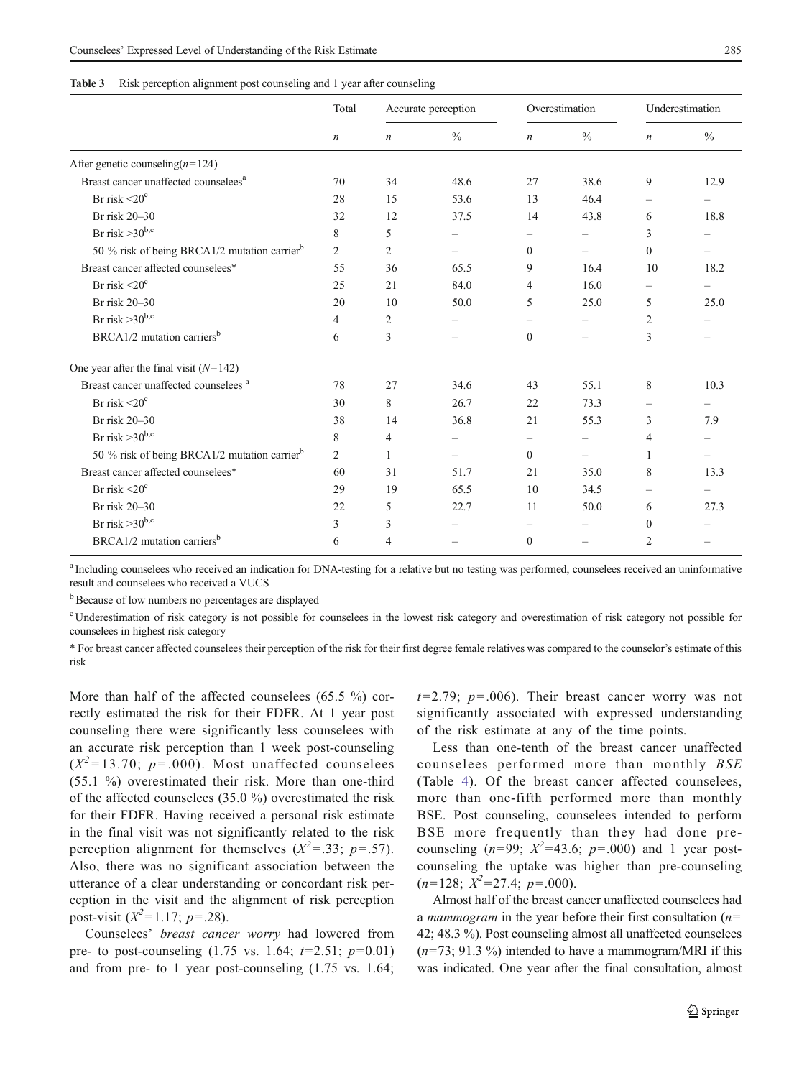<span id="page-6-0"></span>

| Risk perception alignment post counseling and 1 year after counseling<br><b>Table 3</b> |  |  |
|-----------------------------------------------------------------------------------------|--|--|
|-----------------------------------------------------------------------------------------|--|--|

|                                                          | Total            | Accurate perception |                   | Overestimation           |                          | Underestimation          |                          |
|----------------------------------------------------------|------------------|---------------------|-------------------|--------------------------|--------------------------|--------------------------|--------------------------|
|                                                          | $\boldsymbol{n}$ | $\boldsymbol{n}$    | $\frac{0}{0}$     | $\boldsymbol{n}$         | $\frac{0}{0}$            | $\boldsymbol{n}$         | $\frac{0}{0}$            |
| After genetic counseling( $n=124$ )                      |                  |                     |                   |                          |                          |                          |                          |
| Breast cancer unaffected counselees <sup>a</sup>         | 70               | 34                  | 48.6              | 27                       | 38.6                     | 9                        | 12.9                     |
| Br risk $\leq$ 20 $^{\circ}$                             | 28               | 15                  | 53.6              | 13                       | 46.4                     |                          |                          |
| Br risk 20-30                                            | 32               | 12                  | 37.5              | 14                       | 43.8                     | 6                        | 18.8                     |
| Br risk $>30^{b,c}$                                      | 8                | 5                   |                   | $\overline{\phantom{0}}$ | $\overline{\phantom{0}}$ | 3                        |                          |
| 50 % risk of being BRCA1/2 mutation carrier <sup>b</sup> | $\overline{c}$   | $\overline{2}$      |                   | $\Omega$                 | $-$                      | $\Omega$                 |                          |
| Breast cancer affected counselees*                       | 55               | 36                  | 65.5              | 9                        | 16.4                     | 10                       | 18.2                     |
| Br risk $\leq 20^\circ$                                  | 25               | 21                  | 84.0              | 4                        | 16.0                     | $\overline{\phantom{0}}$ |                          |
| Br risk 20-30                                            | 20               | 10                  | 50.0              | 5                        | 25.0                     | 5                        | 25.0                     |
| Br risk $>30^{b,c}$                                      | 4                | 2                   |                   |                          |                          | 2                        |                          |
| BRCA1/2 mutation carriers <sup>b</sup>                   | 6                | 3                   |                   | $\mathbf{0}$             | $\overline{\phantom{0}}$ | 3                        |                          |
| One year after the final visit $(N=142)$                 |                  |                     |                   |                          |                          |                          |                          |
| Breast cancer unaffected counselees <sup>a</sup>         | 78               | 27                  | 34.6              | 43                       | 55.1                     | 8                        | 10.3                     |
| Br risk $\leq 20^\circ$                                  | 30               | 8                   | 26.7              | 22                       | 73.3                     | $\overline{\phantom{0}}$ |                          |
| Br risk 20-30                                            | 38               | 14                  | 36.8              | 21                       | 55.3                     | 3                        | 7.9                      |
| Br risk $>30^{b,c}$                                      | 8                | 4                   | $\qquad \qquad -$ | $\overline{\phantom{0}}$ | $\overline{\phantom{0}}$ | 4                        |                          |
| 50 % risk of being BRCA1/2 mutation carrier <sup>b</sup> | $\overline{c}$   | $\mathbf{1}$        |                   | $\theta$                 | $\overline{\phantom{0}}$ | 1                        |                          |
| Breast cancer affected counselees*                       | 60               | 31                  | 51.7              | 21                       | 35.0                     | 8                        | 13.3                     |
| Br risk $\leq 20^\circ$                                  | 29               | 19                  | 65.5              | 10                       | 34.5                     | $\overline{\phantom{0}}$ | $\overline{\phantom{0}}$ |
| Br risk 20-30                                            | 22               | 5                   | 22.7              | 11                       | 50.0                     | 6                        | 27.3                     |
| Br risk $>30^{b,c}$                                      | 3                | 3                   |                   | $\overline{\phantom{0}}$ | $\qquad \qquad -$        | $\mathbf{0}$             |                          |
| $BRCA1/2$ mutation carriers <sup>b</sup>                 | 6                | 4                   |                   | $\mathbf{0}$             |                          | $\mathfrak{2}$           | $\overline{\phantom{0}}$ |

<sup>a</sup> Including counselees who received an indication for DNA-testing for a relative but no testing was performed, counselees received an uninformative result and counselees who received a VUCS

<sup>b</sup> Because of low numbers no percentages are displayed

<sup>c</sup>Underestimation of risk category is not possible for counselees in the lowest risk category and overestimation of risk category not possible for counselees in highest risk category

\* For breast cancer affected counselees their perception of the risk for their first degree female relatives was compared to the counselor's estimate of this risk

More than half of the affected counselees (65.5 %) correctly estimated the risk for their FDFR. At 1 year post counseling there were significantly less counselees with an accurate risk perception than 1 week post-counseling  $(X^2=13.70; p=.000)$ . Most unaffected counselees (55.1 %) overestimated their risk. More than one-third of the affected counselees (35.0 %) overestimated the risk for their FDFR. Having received a personal risk estimate in the final visit was not significantly related to the risk perception alignment for themselves  $(X^2 = .33; p = .57)$ . Also, there was no significant association between the utterance of a clear understanding or concordant risk perception in the visit and the alignment of risk perception post-visit  $(X^2=1.17; p=.28)$ .

Counselees' breast cancer worry had lowered from pre- to post-counseling  $(1.75 \text{ vs. } 1.64; t=2.51; p=0.01)$ and from pre- to 1 year post-counseling (1.75 vs. 1.64;  $t=2.79$ ;  $p=.006$ ). Their breast cancer worry was not significantly associated with expressed understanding of the risk estimate at any of the time points.

Less than one-tenth of the breast cancer unaffected counselees performed more than monthly BSE (Table [4](#page-7-0)). Of the breast cancer affected counselees, more than one-fifth performed more than monthly BSE. Post counseling, counselees intended to perform BSE more frequently than they had done precounseling  $(n=99; X^2=43.6; p=.000)$  and 1 year postcounseling the uptake was higher than pre-counseling  $(n=128; X^2=27.4; p=.000).$ 

Almost half of the breast cancer unaffected counselees had a *mammogram* in the year before their first consultation  $(n=$ 42; 48.3 %). Post counseling almost all unaffected counselees  $(n=73; 91.3 \%)$  intended to have a mammogram/MRI if this was indicated. One year after the final consultation, almost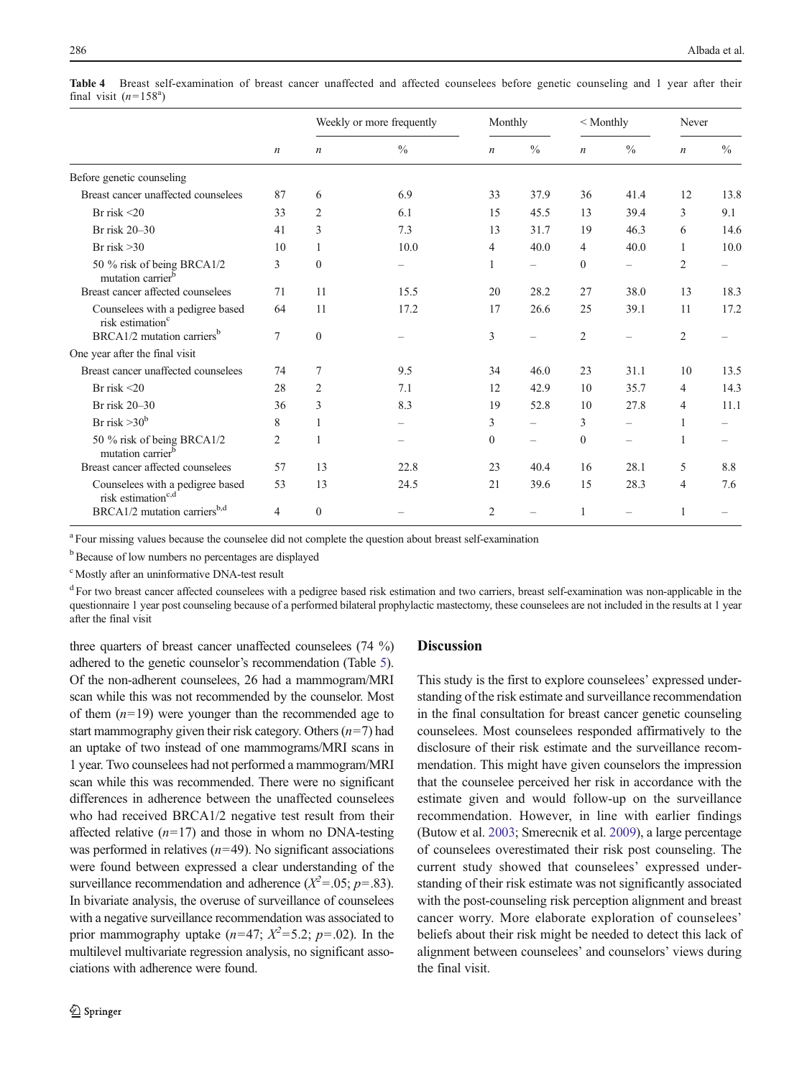|                                                                    | $\boldsymbol{n}$ | Weekly or more frequently |               | Monthly          |               | $<$ Monthly      |                          | Never            |               |
|--------------------------------------------------------------------|------------------|---------------------------|---------------|------------------|---------------|------------------|--------------------------|------------------|---------------|
|                                                                    |                  | $\boldsymbol{n}$          | $\frac{0}{0}$ | $\boldsymbol{n}$ | $\frac{0}{0}$ | $\boldsymbol{n}$ | $\frac{0}{0}$            | $\boldsymbol{n}$ | $\frac{0}{0}$ |
| Before genetic counseling                                          |                  |                           |               |                  |               |                  |                          |                  |               |
| Breast cancer unaffected counselees                                | 87               | 6                         | 6.9           | 33               | 37.9          | 36               | 41.4                     | 12               | 13.8          |
| Br risk $\leq$ 20                                                  | 33               | $\overline{2}$            | 6.1           | 15               | 45.5          | 13               | 39.4                     | 3                | 9.1           |
| Br risk 20-30                                                      | 41               | 3                         | 7.3           | 13               | 31.7          | 19               | 46.3                     | 6                | 14.6          |
| Br risk $>30$                                                      | 10               |                           | 10.0          | 4                | 40.0          | 4                | 40.0                     | $\mathbf{1}$     | 10.0          |
| 50 % risk of being BRCA1/2<br>mutation carrier <sup>b</sup>        | 3                | $\Omega$                  |               |                  |               | $\theta$         | $\qquad \qquad -$        | $\overline{2}$   | —             |
| Breast cancer affected counselees                                  | 71               | 11                        | 15.5          | 20               | 28.2          | 27               | 38.0                     | 13               | 18.3          |
| Counselees with a pedigree based<br>risk estimation <sup>c</sup>   | 64               | 11                        | 17.2          | 17               | 26.6          | 25               | 39.1                     | 11               | 17.2          |
| BRCA1/2 mutation carriers <sup>b</sup>                             | 7                | $\mathbf{0}$              |               | 3                |               | $\overline{2}$   |                          | $\overline{2}$   |               |
| One year after the final visit                                     |                  |                           |               |                  |               |                  |                          |                  |               |
| Breast cancer unaffected counselees                                | 74               | 7                         | 9.5           | 34               | 46.0          | 23               | 31.1                     | 10               | 13.5          |
| Br risk $<$ 20                                                     | 28               | $\overline{2}$            | 7.1           | 12               | 42.9          | 10               | 35.7                     | 4                | 14.3          |
| Br risk 20-30                                                      | 36               | 3                         | 8.3           | 19               | 52.8          | 10               | 27.8                     | 4                | 11.1          |
| Br risk $>30^b$                                                    | 8                |                           |               | 3                |               | 3                | $\overline{\phantom{0}}$ | 1                |               |
| 50 % risk of being BRCA1/2<br>mutation carrier <sup>b</sup>        | 2                | $\mathbf{1}$              |               | $\Omega$         |               | $\Omega$         | $\overline{\phantom{0}}$ | 1                |               |
| Breast cancer affected counselees                                  | 57               | 13                        | 22.8          | 23               | 40.4          | 16               | 28.1                     | 5                | 8.8           |
| Counselees with a pedigree based<br>risk estimation <sup>c,d</sup> | 53               | 13                        | 24.5          | 21               | 39.6          | 15               | 28.3                     | $\overline{4}$   | 7.6           |
| BRCA1/2 mutation carriers <sup>b,d</sup>                           | 4                | $\Omega$                  |               | $\overline{2}$   |               |                  |                          |                  |               |

<span id="page-7-0"></span>Table 4 Breast self-examination of breast cancer unaffected and affected counselees before genetic counseling and 1 year after their final visit  $(n=158^{\circ})$ 

<sup>a</sup> Four missing values because the counselee did not complete the question about breast self-examination

<sup>b</sup> Because of low numbers no percentages are displayed

c Mostly after an uninformative DNA-test result

<sup>d</sup> For two breast cancer affected counselees with a pedigree based risk estimation and two carriers, breast self-examination was non-applicable in the questionnaire 1 year post counseling because of a performed bilateral prophylactic mastectomy, these counselees are not included in the results at 1 year after the final visit

three quarters of breast cancer unaffected counselees (74 %) adhered to the genetic counselor's recommendation (Table [5\)](#page-8-0). Of the non-adherent counselees, 26 had a mammogram/MRI scan while this was not recommended by the counselor. Most of them  $(n=19)$  were younger than the recommended age to start mammography given their risk category. Others  $(n=7)$  had an uptake of two instead of one mammograms/MRI scans in 1 year. Two counselees had not performed a mammogram/MRI scan while this was recommended. There were no significant differences in adherence between the unaffected counselees who had received BRCA1/2 negative test result from their affected relative  $(n=17)$  and those in whom no DNA-testing was performed in relatives  $(n=49)$ . No significant associations were found between expressed a clear understanding of the surveillance recommendation and adherence ( $X^2 = .05$ ;  $p = .83$ ). In bivariate analysis, the overuse of surveillance of counselees with a negative surveillance recommendation was associated to prior mammography uptake  $(n=47; X^2=5.2; p=.02)$ . In the multilevel multivariate regression analysis, no significant associations with adherence were found.

# **Discussion**

This study is the first to explore counselees' expressed understanding of the risk estimate and surveillance recommendation in the final consultation for breast cancer genetic counseling counselees. Most counselees responded affirmatively to the disclosure of their risk estimate and the surveillance recommendation. This might have given counselors the impression that the counselee perceived her risk in accordance with the estimate given and would follow-up on the surveillance recommendation. However, in line with earlier findings (Butow et al. [2003;](#page-9-0) Smerecnik et al. [2009\)](#page-10-0), a large percentage of counselees overestimated their risk post counseling. The current study showed that counselees' expressed understanding of their risk estimate was not significantly associated with the post-counseling risk perception alignment and breast cancer worry. More elaborate exploration of counselees' beliefs about their risk might be needed to detect this lack of alignment between counselees' and counselors' views during the final visit.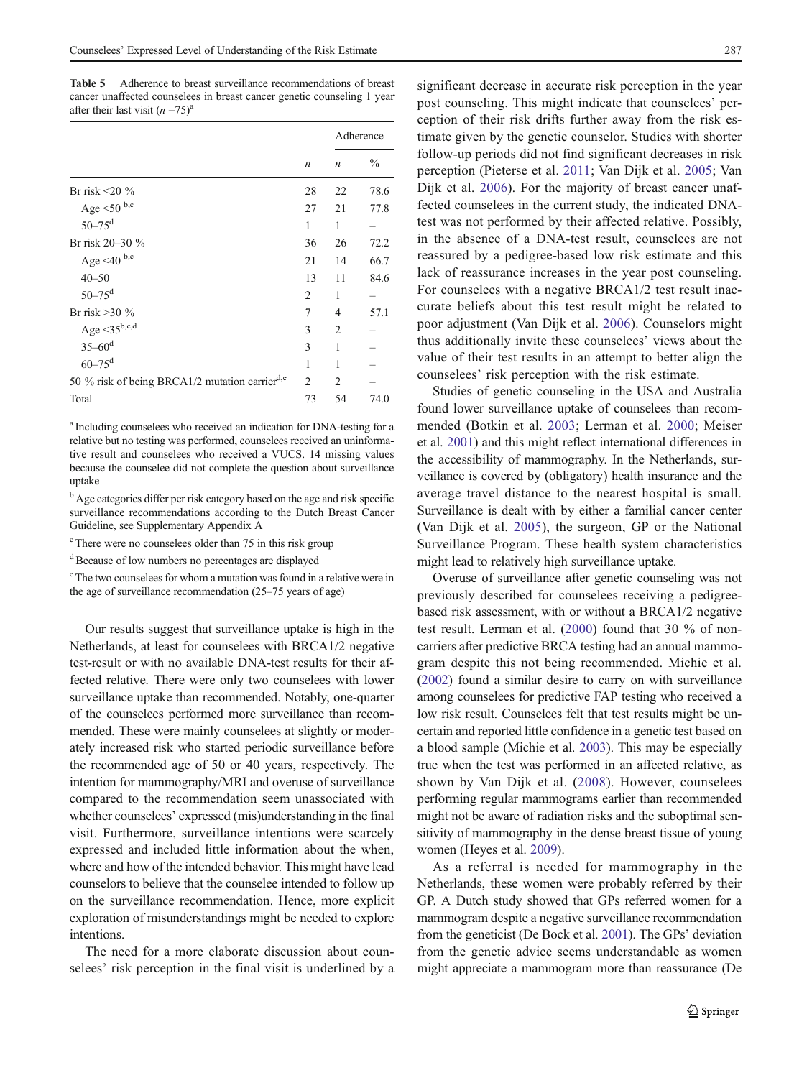<span id="page-8-0"></span>Table 5 Adherence to breast surveillance recommendations of breast cancer unaffected counselees in breast cancer genetic counseling 1 year after their last visit  $(n = 75)^{a}$ 

|                                                            |                  | Adherence        |      |  |
|------------------------------------------------------------|------------------|------------------|------|--|
|                                                            | $\boldsymbol{n}$ | $\boldsymbol{n}$ | $\%$ |  |
| Br risk $\leq$ 20 %                                        | 28               | 22               | 78.6 |  |
| Age $<50$ b,c                                              | 27               | 21               | 77.8 |  |
| $50 - 75$ <sup>d</sup>                                     | 1                | 1                |      |  |
| Br risk $20 - 30 \%$                                       | 36               | 26               | 72.2 |  |
| Age <40 $b$ ,c                                             | 21               | 14               | 66.7 |  |
| $40 - 50$                                                  | 13               | 11               | 84.6 |  |
| $50 - 75$ <sup>d</sup>                                     | 2                | 1                |      |  |
| Br risk $>30\%$                                            | 7                | 4                | 57.1 |  |
| Age $\leq 35^{\text{b,c,d}}$                               | 3                | 2                |      |  |
| $35 - 60^d$                                                | 3                | 1                |      |  |
| $60 - 75$ <sup>d</sup>                                     | 1                | 1                |      |  |
| 50 % risk of being BRCA1/2 mutation carrier <sup>d,e</sup> | 2                | $\mathfrak{D}$   |      |  |
| Total                                                      | 73               | 54               | 74.0 |  |

<sup>a</sup> Including counselees who received an indication for DNA-testing for a relative but no testing was performed, counselees received an uninformative result and counselees who received a VUCS. 14 missing values because the counselee did not complete the question about surveillance uptake

<sup>b</sup> Age categories differ per risk category based on the age and risk specific surveillance recommendations according to the Dutch Breast Cancer Guideline, see Supplementary Appendix A

<sup>c</sup> There were no counselees older than 75 in this risk group

<sup>d</sup> Because of low numbers no percentages are displayed

e The two counselees for whom a mutation was found in a relative were in the age of surveillance recommendation (25–75 years of age)

Our results suggest that surveillance uptake is high in the Netherlands, at least for counselees with BRCA1/2 negative test-result or with no available DNA-test results for their affected relative. There were only two counselees with lower surveillance uptake than recommended. Notably, one-quarter of the counselees performed more surveillance than recommended. These were mainly counselees at slightly or moderately increased risk who started periodic surveillance before the recommended age of 50 or 40 years, respectively. The intention for mammography/MRI and overuse of surveillance compared to the recommendation seem unassociated with whether counselees' expressed (mis)understanding in the final visit. Furthermore, surveillance intentions were scarcely expressed and included little information about the when, where and how of the intended behavior. This might have lead counselors to believe that the counselee intended to follow up on the surveillance recommendation. Hence, more explicit exploration of misunderstandings might be needed to explore intentions.

The need for a more elaborate discussion about counselees' risk perception in the final visit is underlined by a significant decrease in accurate risk perception in the year post counseling. This might indicate that counselees' perception of their risk drifts further away from the risk estimate given by the genetic counselor. Studies with shorter follow-up periods did not find significant decreases in risk perception (Pieterse et al. [2011](#page-10-0); Van Dijk et al. [2005;](#page-10-0) Van Dijk et al. [2006](#page-10-0)). For the majority of breast cancer unaffected counselees in the current study, the indicated DNAtest was not performed by their affected relative. Possibly, in the absence of a DNA-test result, counselees are not reassured by a pedigree-based low risk estimate and this lack of reassurance increases in the year post counseling. For counselees with a negative BRCA1/2 test result inaccurate beliefs about this test result might be related to poor adjustment (Van Dijk et al. [2006\)](#page-10-0). Counselors might thus additionally invite these counselees' views about the value of their test results in an attempt to better align the counselees' risk perception with the risk estimate.

Studies of genetic counseling in the USA and Australia found lower surveillance uptake of counselees than recommended (Botkin et al. [2003](#page-9-0); Lerman et al. [2000;](#page-10-0) Meiser et al. [2001\)](#page-10-0) and this might reflect international differences in the accessibility of mammography. In the Netherlands, surveillance is covered by (obligatory) health insurance and the average travel distance to the nearest hospital is small. Surveillance is dealt with by either a familial cancer center (Van Dijk et al. [2005\)](#page-10-0), the surgeon, GP or the National Surveillance Program. These health system characteristics might lead to relatively high surveillance uptake.

Overuse of surveillance after genetic counseling was not previously described for counselees receiving a pedigreebased risk assessment, with or without a BRCA1/2 negative test result. Lerman et al. ([2000\)](#page-10-0) found that 30 % of noncarriers after predictive BRCA testing had an annual mammogram despite this not being recommended. Michie et al. [\(2002\)](#page-10-0) found a similar desire to carry on with surveillance among counselees for predictive FAP testing who received a low risk result. Counselees felt that test results might be uncertain and reported little confidence in a genetic test based on a blood sample (Michie et al. [2003\)](#page-10-0). This may be especially true when the test was performed in an affected relative, as shown by Van Dijk et al. ([2008\)](#page-10-0). However, counselees performing regular mammograms earlier than recommended might not be aware of radiation risks and the suboptimal sensitivity of mammography in the dense breast tissue of young women (Heyes et al. [2009\)](#page-10-0).

As a referral is needed for mammography in the Netherlands, these women were probably referred by their GP. A Dutch study showed that GPs referred women for a mammogram despite a negative surveillance recommendation from the geneticist (De Bock et al. [2001](#page-10-0)). The GPs' deviation from the genetic advice seems understandable as women might appreciate a mammogram more than reassurance (De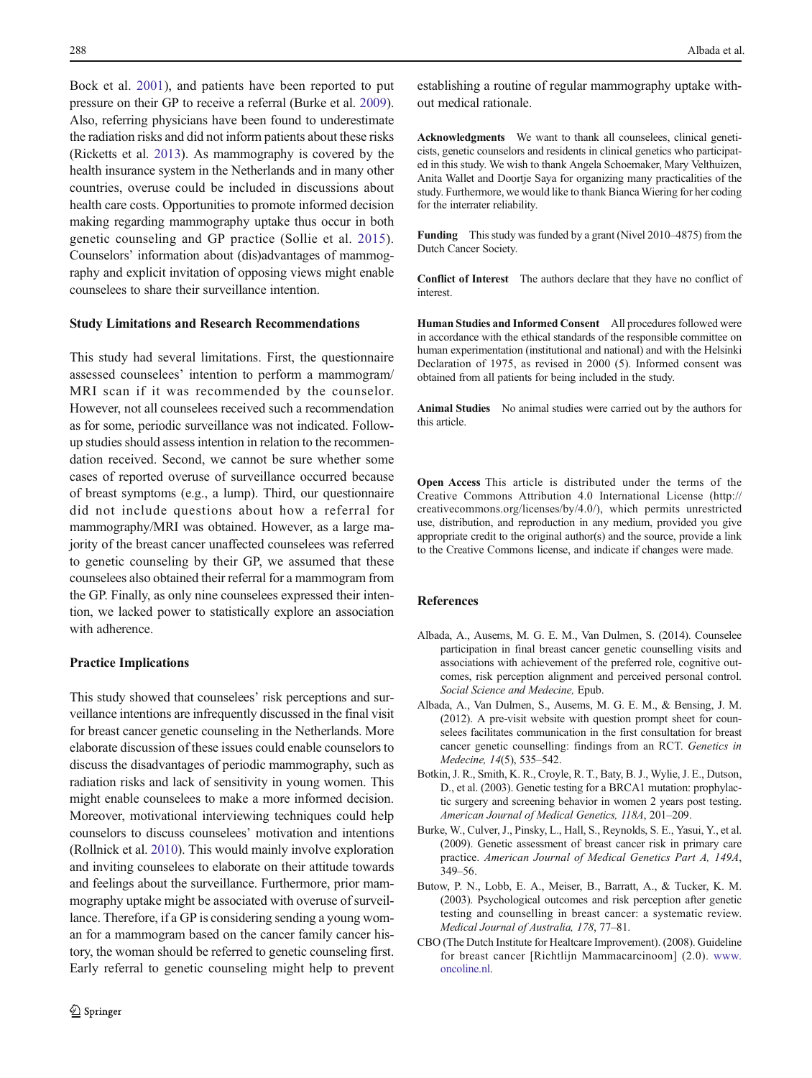<span id="page-9-0"></span>Bock et al. [2001](#page-10-0)), and patients have been reported to put pressure on their GP to receive a referral (Burke et al. 2009). Also, referring physicians have been found to underestimate the radiation risks and did not inform patients about these risks (Ricketts et al. [2013\)](#page-10-0). As mammography is covered by the health insurance system in the Netherlands and in many other countries, overuse could be included in discussions about health care costs. Opportunities to promote informed decision making regarding mammography uptake thus occur in both genetic counseling and GP practice (Sollie et al. [2015](#page-10-0)). Counselors' information about (dis)advantages of mammography and explicit invitation of opposing views might enable counselees to share their surveillance intention.

### Study Limitations and Research Recommendations

This study had several limitations. First, the questionnaire assessed counselees' intention to perform a mammogram/ MRI scan if it was recommended by the counselor. However, not all counselees received such a recommendation as for some, periodic surveillance was not indicated. Followup studies should assess intention in relation to the recommendation received. Second, we cannot be sure whether some cases of reported overuse of surveillance occurred because of breast symptoms (e.g., a lump). Third, our questionnaire did not include questions about how a referral for mammography/MRI was obtained. However, as a large majority of the breast cancer unaffected counselees was referred to genetic counseling by their GP, we assumed that these counselees also obtained their referral for a mammogram from the GP. Finally, as only nine counselees expressed their intention, we lacked power to statistically explore an association with adherence.

# Practice Implications

This study showed that counselees' risk perceptions and surveillance intentions are infrequently discussed in the final visit for breast cancer genetic counseling in the Netherlands. More elaborate discussion of these issues could enable counselors to discuss the disadvantages of periodic mammography, such as radiation risks and lack of sensitivity in young women. This might enable counselees to make a more informed decision. Moreover, motivational interviewing techniques could help counselors to discuss counselees' motivation and intentions (Rollnick et al. [2010](#page-10-0)). This would mainly involve exploration and inviting counselees to elaborate on their attitude towards and feelings about the surveillance. Furthermore, prior mammography uptake might be associated with overuse of surveillance. Therefore, if a GP is considering sending a young woman for a mammogram based on the cancer family cancer history, the woman should be referred to genetic counseling first. Early referral to genetic counseling might help to prevent

establishing a routine of regular mammography uptake without medical rationale.

Acknowledgments We want to thank all counselees, clinical geneticists, genetic counselors and residents in clinical genetics who participated in this study. We wish to thank Angela Schoemaker, Mary Velthuizen, Anita Wallet and Doortje Saya for organizing many practicalities of the study. Furthermore, we would like to thank Bianca Wiering for her coding for the interrater reliability.

Funding This study was funded by a grant (Nivel 2010–4875) from the Dutch Cancer Society.

Conflict of Interest The authors declare that they have no conflict of interest.

Human Studies and Informed Consent All procedures followed were in accordance with the ethical standards of the responsible committee on human experimentation (institutional and national) and with the Helsinki Declaration of 1975, as revised in 2000 (5). Informed consent was obtained from all patients for being included in the study.

Animal Studies No animal studies were carried out by the authors for this article.

Open Access This article is distributed under the terms of the Creative Commons Attribution 4.0 International License (http:// creativecommons.org/licenses/by/4.0/), which permits unrestricted use, distribution, and reproduction in any medium, provided you give appropriate credit to the original author(s) and the source, provide a link to the Creative Commons license, and indicate if changes were made.

## References

- Albada, A., Ausems, M. G. E. M., Van Dulmen, S. (2014). Counselee participation in final breast cancer genetic counselling visits and associations with achievement of the preferred role, cognitive outcomes, risk perception alignment and perceived personal control. Social Science and Medecine, Epub.
- Albada, A., Van Dulmen, S., Ausems, M. G. E. M., & Bensing, J. M. (2012). A pre-visit website with question prompt sheet for counselees facilitates communication in the first consultation for breast cancer genetic counselling: findings from an RCT. Genetics in Medecine, 14(5), 535–542.
- Botkin, J. R., Smith, K. R., Croyle, R. T., Baty, B. J., Wylie, J. E., Dutson, D., et al. (2003). Genetic testing for a BRCA1 mutation: prophylactic surgery and screening behavior in women 2 years post testing. American Journal of Medical Genetics, 118A, 201–209.
- Burke, W., Culver, J., Pinsky, L., Hall, S., Reynolds, S. E., Yasui, Y., et al. (2009). Genetic assessment of breast cancer risk in primary care practice. American Journal of Medical Genetics Part A, 149A, 349–56.
- Butow, P. N., Lobb, E. A., Meiser, B., Barratt, A., & Tucker, K. M. (2003). Psychological outcomes and risk perception after genetic testing and counselling in breast cancer: a systematic review. Medical Journal of Australia, 178, 77–81.
- CBO (The Dutch Institute for Healtcare Improvement). (2008). Guideline for breast cancer [Richtlijn Mammacarcinoom] (2.0). [www.](http://www.oncoline.nl/) [oncoline.nl.](http://www.oncoline.nl/)